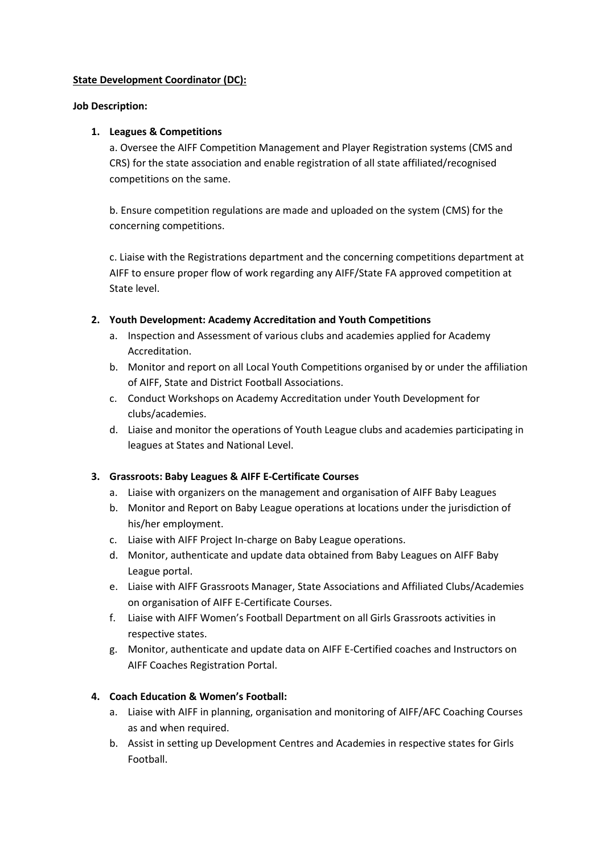#### **State Development Coordinator (DC):**

#### **Job Description:**

#### **1. Leagues & Competitions**

a. Oversee the AIFF Competition Management and Player Registration systems (CMS and CRS) for the state association and enable registration of all state affiliated/recognised competitions on the same.

b. Ensure competition regulations are made and uploaded on the system (CMS) for the concerning competitions.

c. Liaise with the Registrations department and the concerning competitions department at AIFF to ensure proper flow of work regarding any AIFF/State FA approved competition at State level.

#### **2. Youth Development: Academy Accreditation and Youth Competitions**

- a. Inspection and Assessment of various clubs and academies applied for Academy Accreditation.
- b. Monitor and report on all Local Youth Competitions organised by or under the affiliation of AIFF, State and District Football Associations.
- c. Conduct Workshops on Academy Accreditation under Youth Development for clubs/academies.
- d. Liaise and monitor the operations of Youth League clubs and academies participating in leagues at States and National Level.

## **3. Grassroots: Baby Leagues & AIFF E-Certificate Courses**

- a. Liaise with organizers on the management and organisation of AIFF Baby Leagues
- b. Monitor and Report on Baby League operations at locations under the jurisdiction of his/her employment.
- c. Liaise with AIFF Project In-charge on Baby League operations.
- d. Monitor, authenticate and update data obtained from Baby Leagues on AIFF Baby League portal.
- e. Liaise with AIFF Grassroots Manager, State Associations and Affiliated Clubs/Academies on organisation of AIFF E-Certificate Courses.
- f. Liaise with AIFF Women's Football Department on all Girls Grassroots activities in respective states.
- g. Monitor, authenticate and update data on AIFF E-Certified coaches and Instructors on AIFF Coaches Registration Portal.

## **4. Coach Education & Women's Football:**

- a. Liaise with AIFF in planning, organisation and monitoring of AIFF/AFC Coaching Courses as and when required.
- b. Assist in setting up Development Centres and Academies in respective states for Girls Football.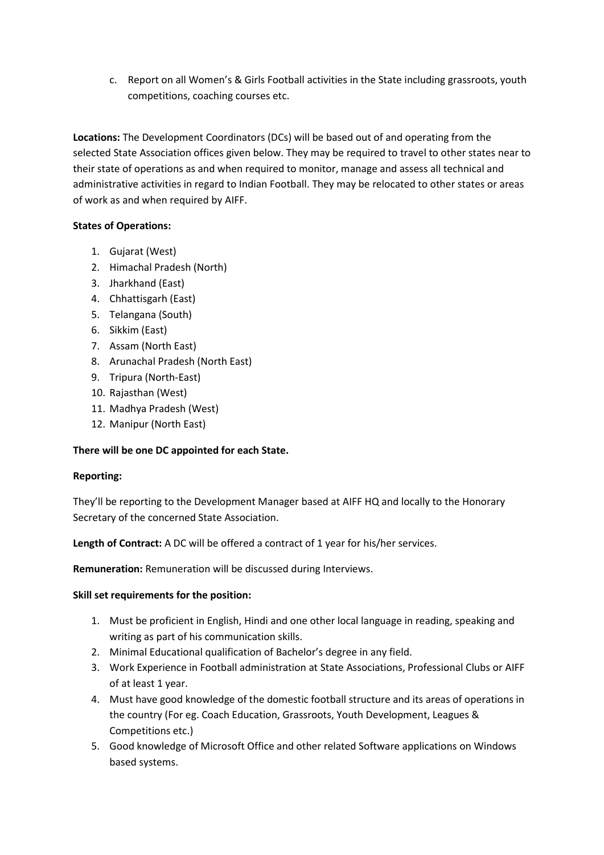c. Report on all Women's & Girls Football activities in the State including grassroots, youth competitions, coaching courses etc.

**Locations:** The Development Coordinators (DCs) will be based out of and operating from the selected State Association offices given below. They may be required to travel to other states near to their state of operations as and when required to monitor, manage and assess all technical and administrative activities in regard to Indian Football. They may be relocated to other states or areas of work as and when required by AIFF.

# **States of Operations:**

- 1. Gujarat (West)
- 2. Himachal Pradesh (North)
- 3. Jharkhand (East)
- 4. Chhattisgarh (East)
- 5. Telangana (South)
- 6. Sikkim (East)
- 7. Assam (North East)
- 8. Arunachal Pradesh (North East)
- 9. Tripura (North-East)
- 10. Rajasthan (West)
- 11. Madhya Pradesh (West)
- 12. Manipur (North East)

## **There will be one DC appointed for each State.**

## **Reporting:**

They'll be reporting to the Development Manager based at AIFF HQ and locally to the Honorary Secretary of the concerned State Association.

**Length of Contract:** A DC will be offered a contract of 1 year for his/her services.

**Remuneration:** Remuneration will be discussed during Interviews.

#### **Skill set requirements for the position:**

- 1. Must be proficient in English, Hindi and one other local language in reading, speaking and writing as part of his communication skills.
- 2. Minimal Educational qualification of Bachelor's degree in any field.
- 3. Work Experience in Football administration at State Associations, Professional Clubs or AIFF of at least 1 year.
- 4. Must have good knowledge of the domestic football structure and its areas of operations in the country (For eg. Coach Education, Grassroots, Youth Development, Leagues & Competitions etc.)
- 5. Good knowledge of Microsoft Office and other related Software applications on Windows based systems.